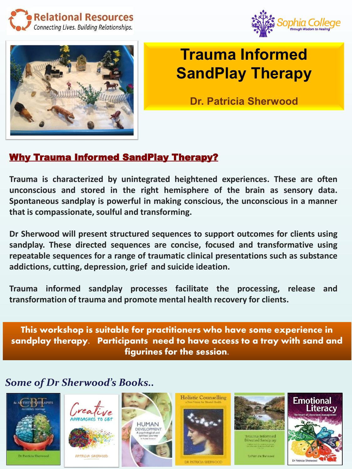





## **Trauma Informed SandPlay Therapy**

**Dr. Patricia Sherwood** 

## Why Trauma Informed SandPlay Therapy?

**Trauma is characterized by unintegrated heightened experiences. These are often unconscious and stored in the right hemisphere of the brain as sensory data. Spontaneous sandplay is powerful in making conscious, the unconscious in a manner that is compassionate, soulful and transforming.**

**Dr Sherwood will present structured sequences to support outcomes for clients using sandplay. These directed sequences are concise, focused and transformative using repeatable sequences for a range of traumatic clinical presentations such as substance addictions, cutting, depression, grief and suicide ideation.**

**Trauma informed sandplay processes facilitate the processing, release and transformation of trauma and promote mental health recovery for clients.**

This workshop is suitable for practitioners who have some experience in sandplay therapy. Participants need to have access to a tray with sand and figurines for the session.

*Some of Dr Sherwood's Books..*







PATRICIA SHERWOOD



**Holistic Counselling** 



voted Sandplay